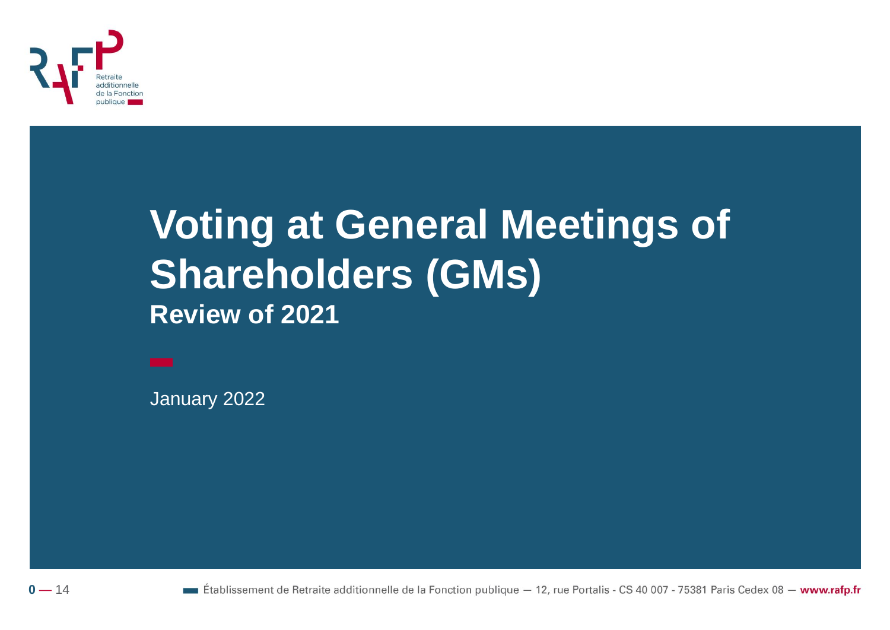

### **Voting at General Meetings of Shareholders (GMs) Review of 2021**

January 2022



**Etablissement de Retraite additionnelle de la Fonction publique**  $-12$ , rue Portalis - CS 40 007 - 75381 Paris Cedex 08 - www.rafp.fr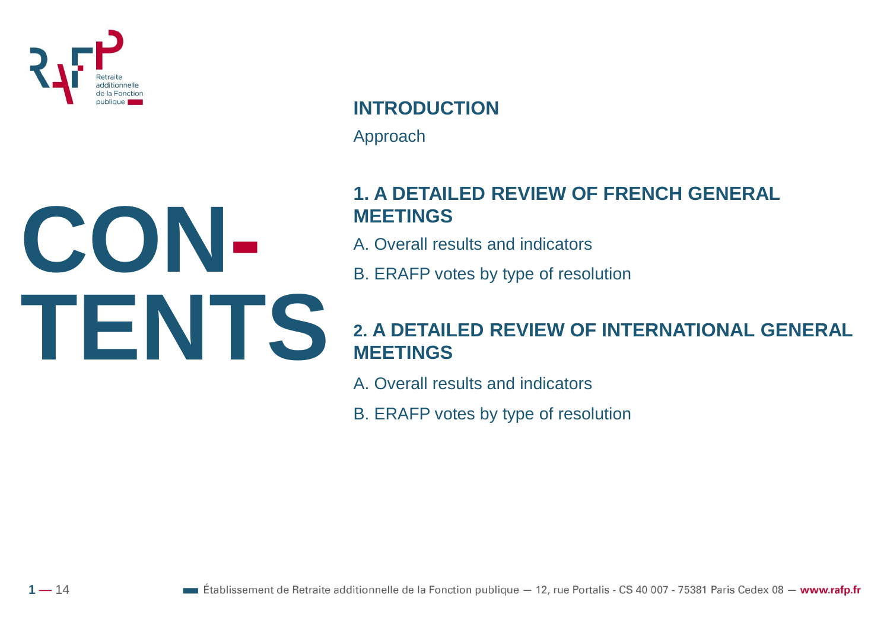

 $1 - 14$ 

**INTRODUCTION** Approach

#### **1. A DETAILED REVIEW OF FRENCH GENERAL MEETINGS**

- A. Overall results and indicators
- B. ERAFP votes by type of resolution

#### **2. A DETAILED REVIEW OF INTERNATIONAL GENERAL MEETINGS**

- A. Overall results and indicators
- B. ERAFP votes by type of resolution

**CON-TENTS**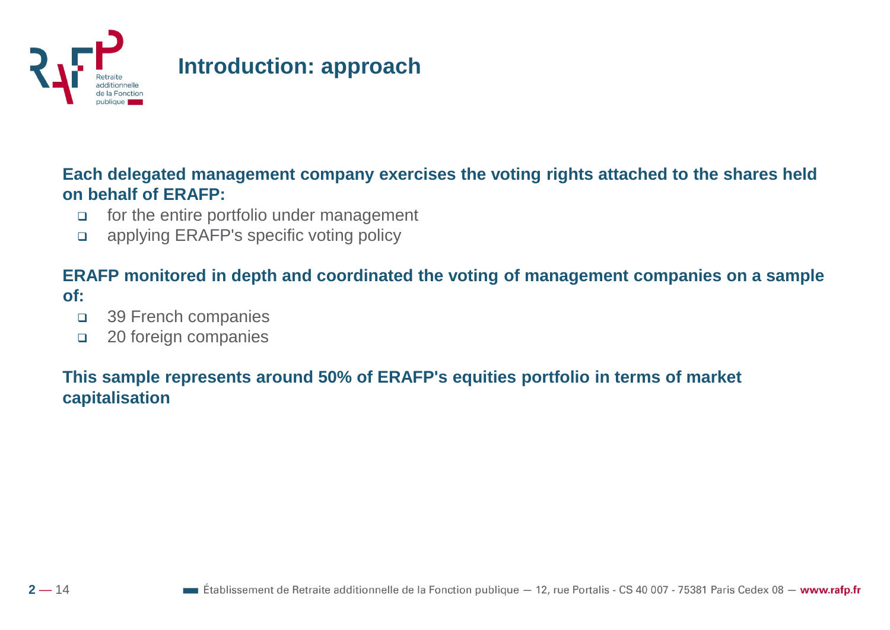

#### **Each delegated management company exercises the voting rights attached to the shares held on behalf of ERAFP:**

- ❑ for the entire portfolio under management
- ❑ applying ERAFP's specific voting policy

#### **ERAFP monitored in depth and coordinated the voting of management companies on a sample of:**

- ❑ 39 French companies
- ❑ 20 foreign companies

#### **This sample represents around 50% of ERAFP's equities portfolio in terms of market capitalisation**

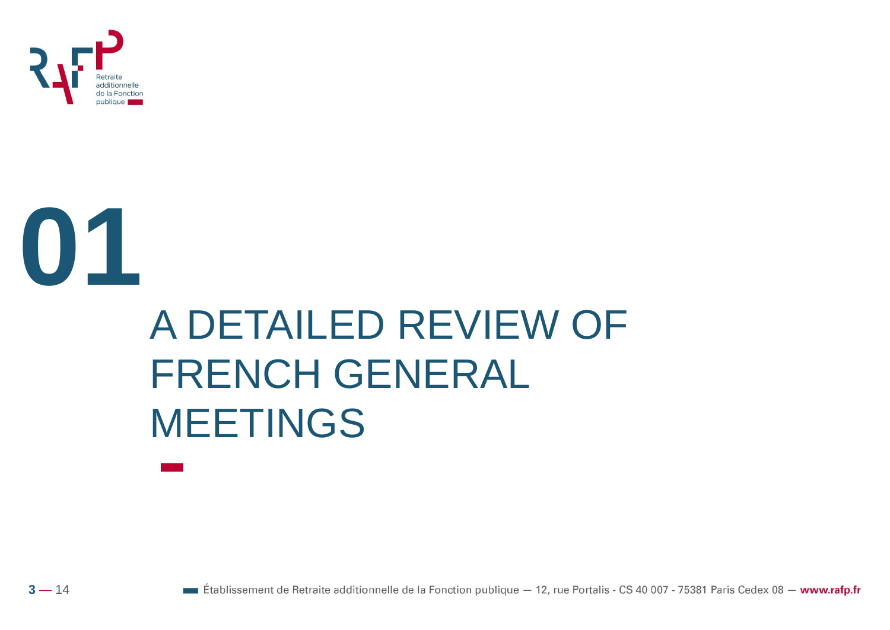

**01**

## A DETAILED REVIEW OF FRENCH GENERAL MEETINGS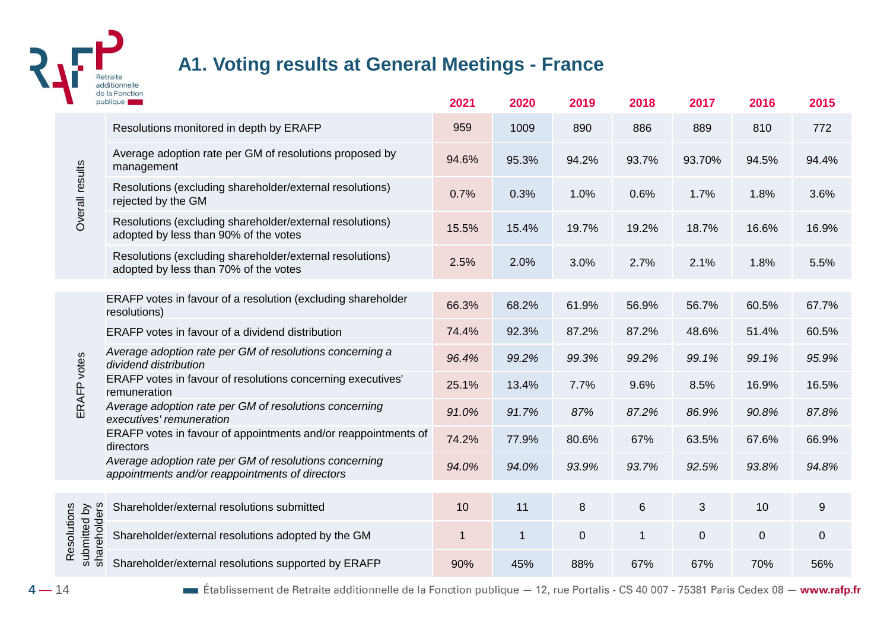

#### **A1. Voting results at General Meetings - France**

|                                             | <b>ICLIUI</b><br>publique                                                                                 | 2021  | 2020           | 2019           | 2018         | 2017           | 2016           | 2015        |
|---------------------------------------------|-----------------------------------------------------------------------------------------------------------|-------|----------------|----------------|--------------|----------------|----------------|-------------|
|                                             | Resolutions monitored in depth by ERAFP                                                                   | 959   | 1009           | 890            | 886          | 889            | 810            | 772         |
|                                             | Average adoption rate per GM of resolutions proposed by<br>management                                     | 94.6% | 95.3%          | 94.2%          | 93.7%        | 93.70%         | 94.5%          | 94.4%       |
| Overall results                             | Resolutions (excluding shareholder/external resolutions)<br>rejected by the GM                            | 0.7%  | 0.3%           | 1.0%           | 0.6%         | 1.7%           | 1.8%           | 3.6%        |
|                                             | Resolutions (excluding shareholder/external resolutions)<br>adopted by less than 90% of the votes         | 15.5% | 15.4%          | 19.7%          | 19.2%        | 18.7%          | 16.6%          | 16.9%       |
|                                             | Resolutions (excluding shareholder/external resolutions)<br>adopted by less than 70% of the votes         | 2.5%  | 2.0%           | 3.0%           | 2.7%         | 2.1%           | 1.8%           | 5.5%        |
|                                             |                                                                                                           |       |                |                |              |                |                |             |
|                                             | ERAFP votes in favour of a resolution (excluding shareholder<br>resolutions)                              | 66.3% | 68.2%          | 61.9%          | 56.9%        | 56.7%          | 60.5%          | 67.7%       |
|                                             | ERAFP votes in favour of a dividend distribution                                                          | 74.4% | 92.3%          | 87.2%          | 87.2%        | 48.6%          | 51.4%          | 60.5%       |
|                                             | Average adoption rate per GM of resolutions concerning a<br>dividend distribution                         | 96.4% | 99.2%          | 99.3%          | 99.2%        | 99.1%          | 99.1%          | 95.9%       |
| ERAFP votes                                 | ERAFP votes in favour of resolutions concerning executives'<br>remuneration                               | 25.1% | 13.4%          | 7.7%           | 9.6%         | 8.5%           | 16.9%          | 16.5%       |
|                                             | Average adoption rate per GM of resolutions concerning<br>executives' remuneration                        | 91.0% | 91.7%          | 87%            | 87.2%        | 86.9%          | 90.8%          | 87.8%       |
|                                             | ERAFP votes in favour of appointments and/or reappointments of<br>directors                               | 74.2% | 77.9%          | 80.6%          | 67%          | 63.5%          | 67.6%          | 66.9%       |
|                                             | Average adoption rate per GM of resolutions concerning<br>appointments and/or reappointments of directors | 94.0% | 94.0%          | 93.9%          | 93.7%        | 92.5%          | 93.8%          | 94.8%       |
|                                             |                                                                                                           |       |                |                |              |                |                |             |
|                                             | Shareholder/external resolutions submitted                                                                | 10    | 11             | 8              | 6            | 3              | 10             | 9           |
| shareholders<br>Resolutions<br>submitted by | Shareholder/external resolutions adopted by the GM                                                        | 1     | $\overline{1}$ | $\overline{0}$ | $\mathbf{1}$ | $\overline{0}$ | $\overline{0}$ | $\mathbf 0$ |
|                                             | Shareholder/external resolutions supported by ERAFP                                                       | 90%   | 45%            | 88%            | 67%          | 67%            | 70%            | 56%         |

Etablissement de Retraite additionnelle de la Fonction publique - 12, rue Portalis - CS 40 007 - 75381 Paris Cedex 08 - www.rafp.fr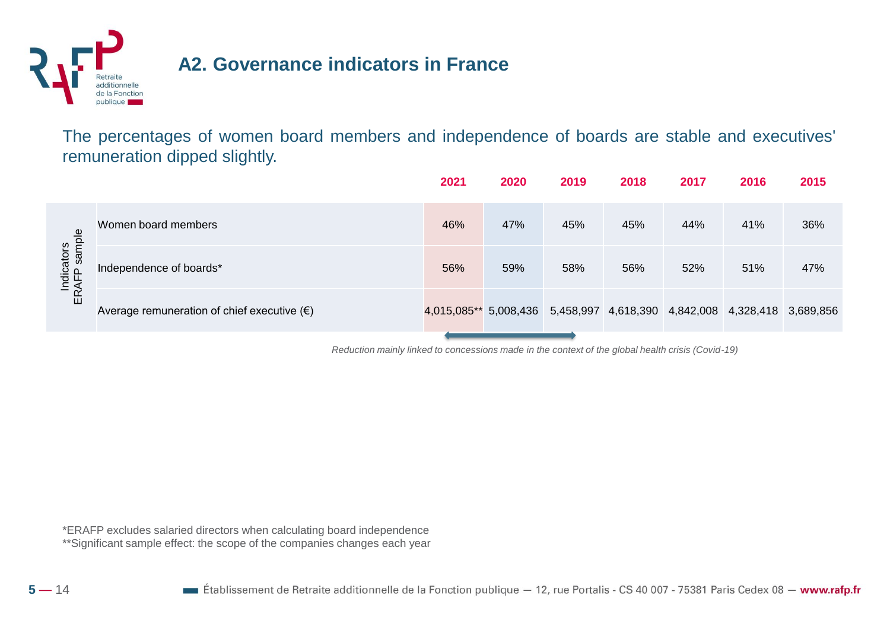

#### **A2. Governance indicators in France**

The percentages of women board members and independence of boards are stable and executives' remuneration dipped slightly.

|                                    |                                                      | 2021                  | 2020 | 2019                                              | 2018 | 2017 | 2016 | 2015 |
|------------------------------------|------------------------------------------------------|-----------------------|------|---------------------------------------------------|------|------|------|------|
|                                    | Women board members                                  | 46%                   | 47%  | 45%                                               | 45%  | 44%  | 41%  | 36%  |
| sample<br>Indicators<br>ERAFP samr | Independence of boards*                              | 56%                   | 59%  | 58%                                               | 56%  | 52%  | 51%  | 47%  |
|                                    | Average remuneration of chief executive $(\epsilon)$ | 4,015,085** 5,008,436 |      | 5,458,997 4,618,390 4,842,008 4,328,418 3,689,856 |      |      |      |      |
|                                    |                                                      |                       |      |                                                   |      |      |      |      |

*Reduction mainly linked to concessions made in the context of the global health crisis (Covid-19)* 

\*ERAFP excludes salaried directors when calculating board independence \*\*Significant sample effect: the scope of the companies changes each year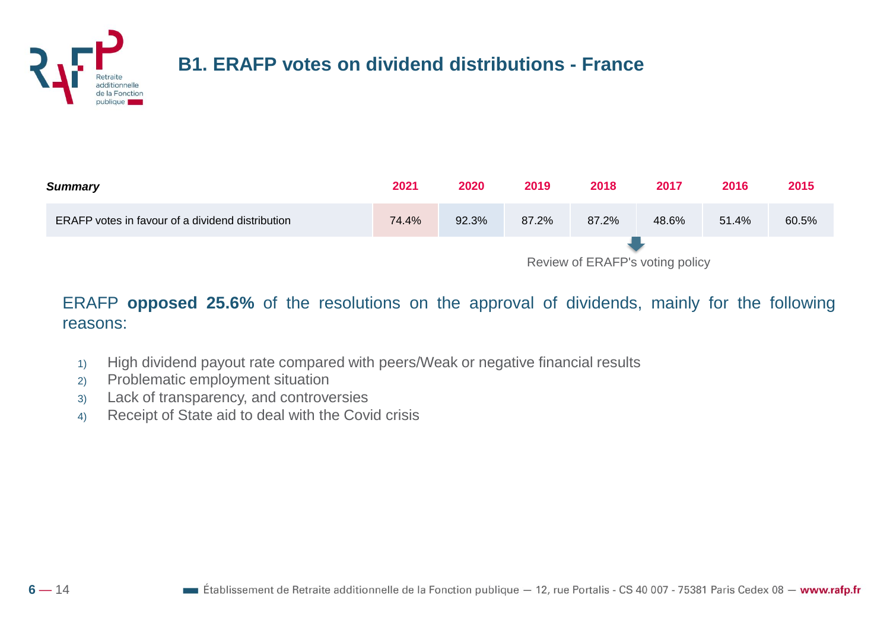

#### **B1. ERAFP votes on dividend distributions - France**

| <b>Summary</b>                                          | 2021                            | 2020  | 2019  | 2018  | 2017  | 2016  | 2015  |
|---------------------------------------------------------|---------------------------------|-------|-------|-------|-------|-------|-------|
| <b>ERAFP</b> votes in favour of a dividend distribution | 74.4%                           | 92.3% | 87.2% | 87.2% | 48.6% | 51.4% | 60.5% |
|                                                         | Review of ERAFP's voting policy |       |       |       |       |       |       |

ERAFP **opposed 25.6%** of the resolutions on the approval of dividends, mainly for the following reasons:

- 1) High dividend payout rate compared with peers/Weak or negative financial results
- 2) Problematic employment situation
- 3) Lack of transparency, and controversies
- 4) Receipt of State aid to deal with the Covid crisis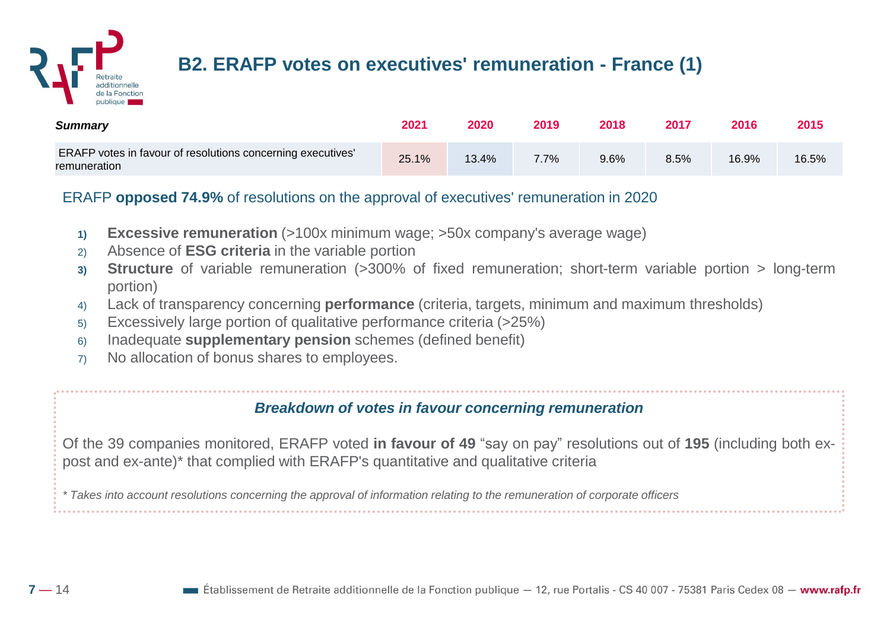

#### **B2. ERAFP votes on executives' remuneration - France (1)**

| <b>Summary</b>                                                              | 2021  | 2020  | 2019    | 2018 | 2017 | 2016  | 2015  |
|-----------------------------------------------------------------------------|-------|-------|---------|------|------|-------|-------|
| ERAFP votes in favour of resolutions concerning executives'<br>remuneration | 25.1% | 13.4% | $7.7\%$ | 9.6% | 8.5% | 16.9% | 16.5% |

#### ERAFP **opposed 74.9%** of resolutions on the approval of executives' remuneration in 2020

- **1) Excessive remuneration** (>100x minimum wage; >50x company's average wage)
- 2) Absence of **ESG criteria** in the variable portion
- **3) Structure** of variable remuneration (>300% of fixed remuneration; short-term variable portion > long-term portion)
- 4) Lack of transparency concerning **performance** (criteria, targets, minimum and maximum thresholds)
- 5) Excessively large portion of qualitative performance criteria (>25%)
- 6) Inadequate **supplementary pension** schemes (defined benefit)
- 7) No allocation of bonus shares to employees.

#### *Breakdown of votes in favour concerning remuneration*

Of the 39 companies monitored, ERAFP voted **in favour of 49** "say on pay" resolutions out of **195** (including both expost and ex-ante)\* that complied with ERAFP's quantitative and qualitative criteria

\* Takes into account resolutions concerning the approval of information relating to the remuneration of corporate officers

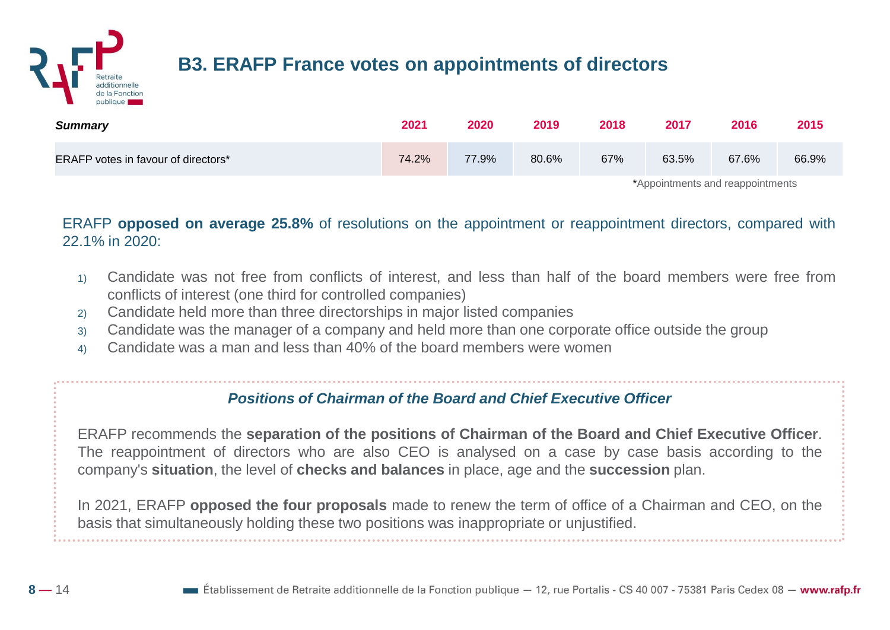

| <b>Summary</b>                             | 2021  | 2020  | 2019  | 2018 | 2017                             | 2016  | 2015  |
|--------------------------------------------|-------|-------|-------|------|----------------------------------|-------|-------|
| <b>ERAFP votes in favour of directors*</b> | 74.2% | 77.9% | 80.6% | 67%  | 63.5%                            | 67.6% | 66.9% |
|                                            |       |       |       |      | *Appointments and reappointments |       |       |

ERAFP **opposed on average 25.8%** of resolutions on the appointment or reappointment directors, compared with 22.1% in 2020:

- 1) Candidate was not free from conflicts of interest, and less than half of the board members were free from conflicts of interest (one third for controlled companies)
- 2) Candidate held more than three directorships in major listed companies
- 3) Candidate was the manager of a company and held more than one corporate office outside the group
- 4) Candidate was a man and less than 40% of the board members were women

#### *Positions of Chairman of the Board and Chief Executive Officer*

ERAFP recommends the **separation of the positions of Chairman of the Board and Chief Executive Officer**. The reappointment of directors who are also CEO is analysed on a case by case basis according to the company's **situation**, the level of **checks and balances** in place, age and the **succession** plan.

In 2021, ERAFP **opposed the four proposals** made to renew the term of office of a Chairman and CEO, on the basis that simultaneously holding these two positions was inappropriate or unjustified.

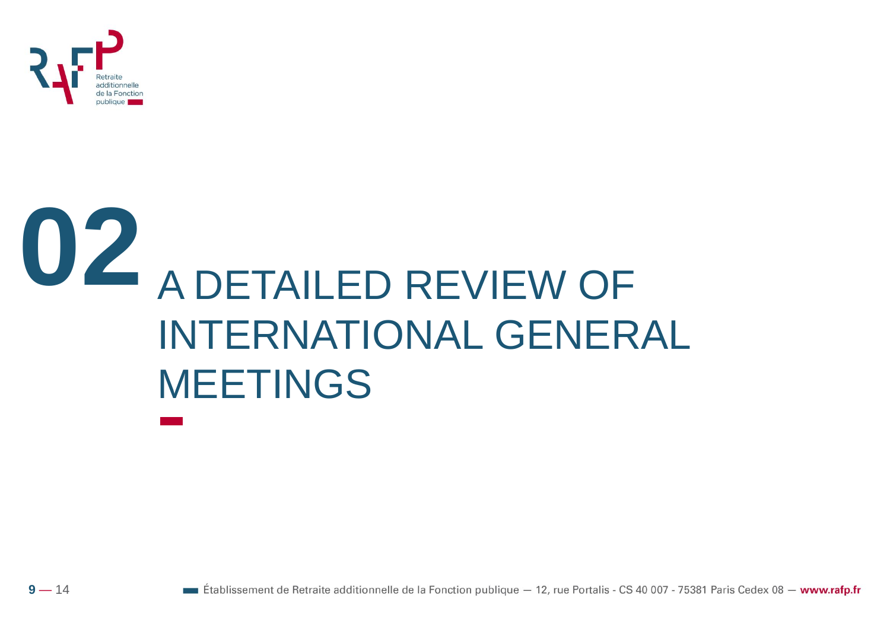

# **02** A DETAILED REVIEW OF INTERNATIONAL GENERAL MEETINGS

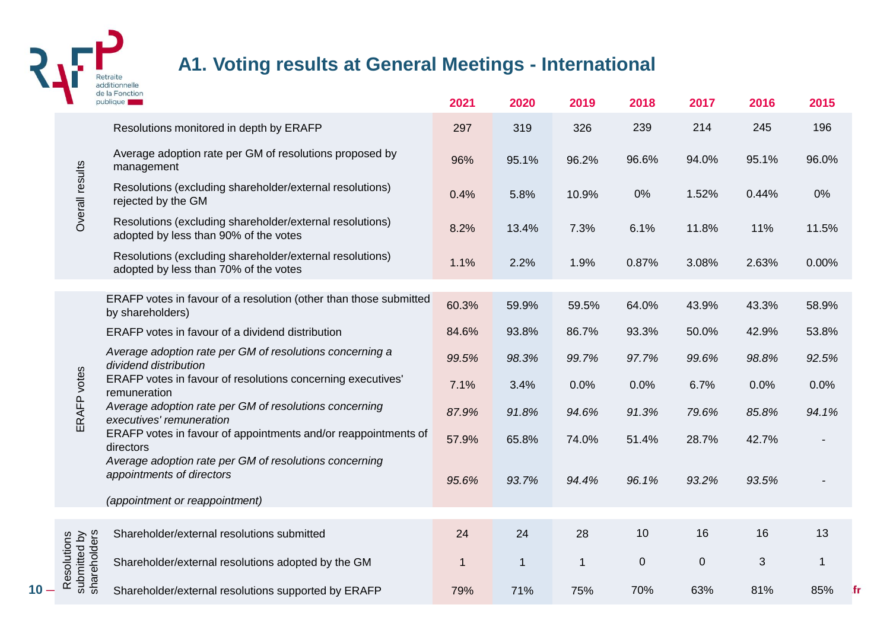

#### **A1. Voting results at General Meetings - International**

|      |                                            | de la Fonction<br>publique                                                                        | 2021  | 2020         | 2019         | 2018        | 2017        | 2016  | 2015  |
|------|--------------------------------------------|---------------------------------------------------------------------------------------------------|-------|--------------|--------------|-------------|-------------|-------|-------|
|      |                                            | Resolutions monitored in depth by ERAFP                                                           | 297   | 319          | 326          | 239         | 214         | 245   | 196   |
|      |                                            | Average adoption rate per GM of resolutions proposed by<br>management                             | 96%   | 95.1%        | 96.2%        | 96.6%       | 94.0%       | 95.1% | 96.0% |
|      | Overall results                            | Resolutions (excluding shareholder/external resolutions)<br>rejected by the GM                    | 0.4%  | 5.8%         | 10.9%        | 0%          | 1.52%       | 0.44% | 0%    |
|      |                                            | Resolutions (excluding shareholder/external resolutions)<br>adopted by less than 90% of the votes | 8.2%  | 13.4%        | 7.3%         | 6.1%        | 11.8%       | 11%   | 11.5% |
|      |                                            | Resolutions (excluding shareholder/external resolutions)<br>adopted by less than 70% of the votes | 1.1%  | 2.2%         | 1.9%         | 0.87%       | 3.08%       | 2.63% | 0.00% |
|      |                                            |                                                                                                   |       |              |              |             |             |       |       |
|      |                                            | ERAFP votes in favour of a resolution (other than those submitted<br>by shareholders)             | 60.3% | 59.9%        | 59.5%        | 64.0%       | 43.9%       | 43.3% | 58.9% |
|      |                                            | ERAFP votes in favour of a dividend distribution                                                  | 84.6% | 93.8%        | 86.7%        | 93.3%       | 50.0%       | 42.9% | 53.8% |
|      |                                            | Average adoption rate per GM of resolutions concerning a<br>dividend distribution                 | 99.5% | 98.3%        | 99.7%        | 97.7%       | 99.6%       | 98.8% | 92.5% |
|      |                                            | ERAFP votes in favour of resolutions concerning executives'<br>remuneration                       | 7.1%  | 3.4%         | 0.0%         | 0.0%        | 6.7%        | 0.0%  | 0.0%  |
|      | ERAFP votes                                | Average adoption rate per GM of resolutions concerning<br>executives' remuneration                | 87.9% | 91.8%        | 94.6%        | 91.3%       | 79.6%       | 85.8% | 94.1% |
|      |                                            | ERAFP votes in favour of appointments and/or reappointments of<br>directors                       | 57.9% | 65.8%        | 74.0%        | 51.4%       | 28.7%       | 42.7% |       |
|      |                                            | Average adoption rate per GM of resolutions concerning<br>appointments of directors               | 95.6% | 93.7%        | 94.4%        | 96.1%       | 93.2%       | 93.5% |       |
|      |                                            | (appointment or reappointment)                                                                    |       |              |              |             |             |       |       |
|      |                                            | Shareholder/external resolutions submitted                                                        | 24    | 24           | 28           | 10          | 16          | 16    | 13    |
|      | submitted by<br>shareholders<br>esolutions | Shareholder/external resolutions adopted by the GM                                                |       | $\mathbf{1}$ | $\mathbf{1}$ | $\mathbf 0$ | $\mathbf 0$ | 3     |       |
| 10 - | ě                                          | Shareholder/external resolutions supported by ERAFP                                               | 79%   | 71%          | 75%          | 70%         | 63%         | 81%   | 85%   |

 $f<sub>r</sub>$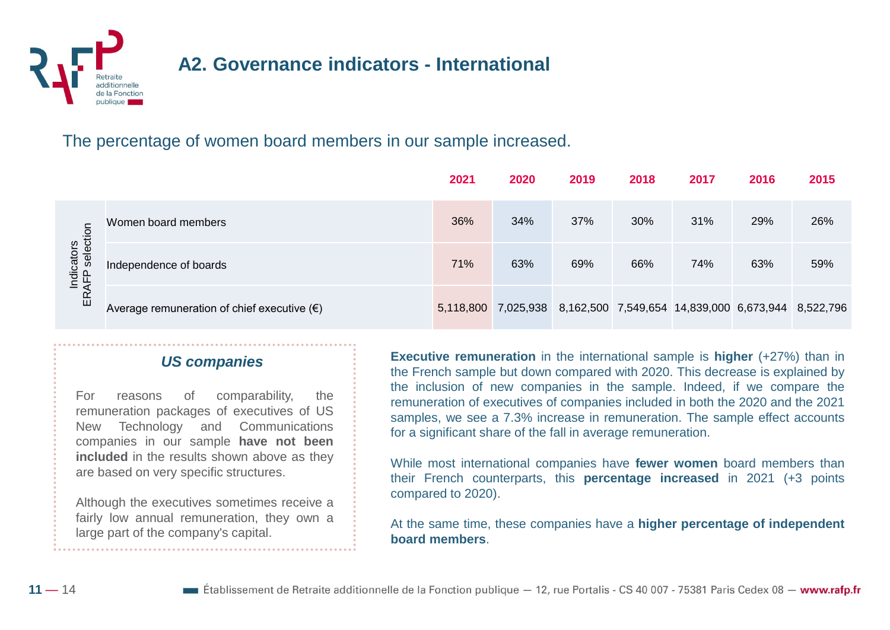

#### **A2. Governance indicators - International**

#### The percentage of women board members in our sample increased.

|                                       |                                                      | 2021 | 2020 | 2019                                                                   | 2018 | 2017 | 2016 | 2015 |
|---------------------------------------|------------------------------------------------------|------|------|------------------------------------------------------------------------|------|------|------|------|
|                                       | Women board members                                  | 36%  | 34%  | 37%                                                                    | 30%  | 31%  | 29%  | 26%  |
| icators<br>P selection<br>Indi<br>AFP | Independence of boards                               | 71%  | 63%  | 69%                                                                    | 66%  | 74%  | 63%  | 59%  |
| 띥                                     | Average remuneration of chief executive $(\epsilon)$ |      |      | 5,118,800 7,025,938 8,162,500 7,549,654 14,839,000 6,673,944 8,522,796 |      |      |      |      |

#### *US companies*

For reasons of comparability, the remuneration packages of executives of US New Technology and Communications companies in our sample **have not been included** in the results shown above as they are based on very specific structures.

Although the executives sometimes receive a fairly low annual remuneration, they own a large part of the company's capital.

**Executive remuneration** in the international sample is **higher** (+27%) than in the French sample but down compared with 2020. This decrease is explained by the inclusion of new companies in the sample. Indeed, if we compare the remuneration of executives of companies included in both the 2020 and the 2021 samples, we see a 7.3% increase in remuneration. The sample effect accounts for a significant share of the fall in average remuneration.

While most international companies have **fewer women** board members than their French counterparts, this **percentage increased** in 2021 (+3 points compared to 2020).

At the same time, these companies have a **higher percentage of independent board members**.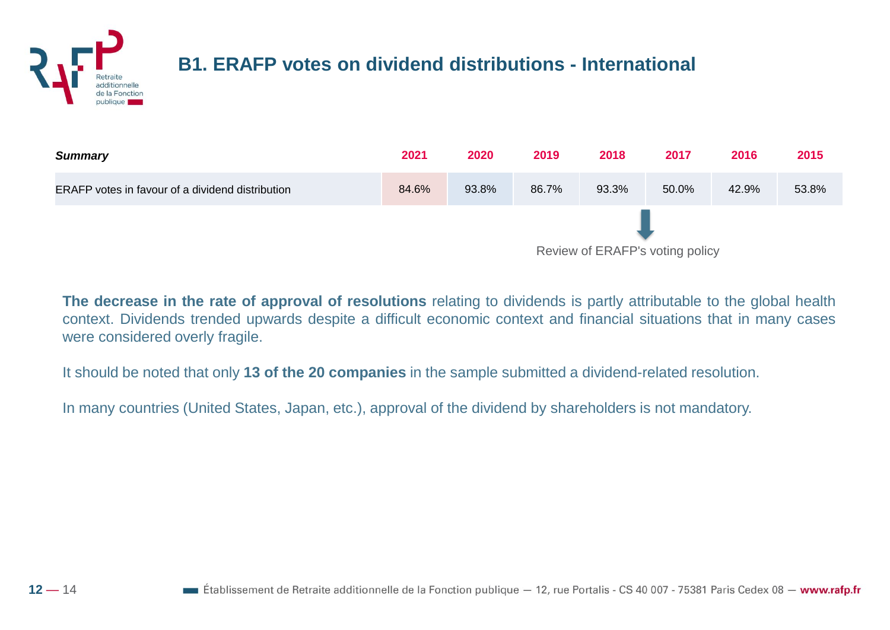#### **B1. ERAFP votes on dividend distributions - International**



**The decrease in the rate of approval of resolutions** relating to dividends is partly attributable to the global health context. Dividends trended upwards despite a difficult economic context and financial situations that in many cases were considered overly fragile.

It should be noted that only **13 of the 20 companies** in the sample submitted a dividend-related resolution.

In many countries (United States, Japan, etc.), approval of the dividend by shareholders is not mandatory.

publique

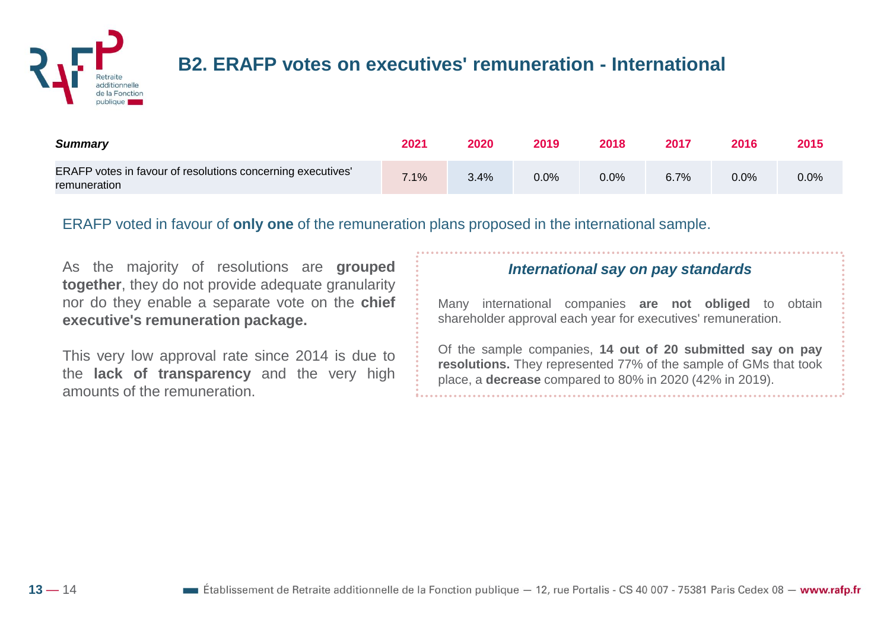

#### **B2. ERAFP votes on executives' remuneration - International**

| <b>Summary</b>                                                              | 2021 | 2020 | 2019    | 2018 | 2017 | 2016 | 2015    |
|-----------------------------------------------------------------------------|------|------|---------|------|------|------|---------|
| ERAFP votes in favour of resolutions concerning executives'<br>remuneration | 7.1% | 3.4% | $0.0\%$ | 0.0% | 6.7% | 0.0% | $0.0\%$ |

ERAFP voted in favour of **only one** of the remuneration plans proposed in the international sample.

As the majority of resolutions are **grouped together**, they do not provide adequate granularity nor do they enable a separate vote on the **chief executive's remuneration package.**

This very low approval rate since 2014 is due to the **lack of transparency** and the very high amounts of the remuneration.

#### *International say on pay standards*

Many international companies **are not obliged** to obtain shareholder approval each year for executives' remuneration.

Of the sample companies, **14 out of 20 submitted say on pay resolutions.** They represented 77% of the sample of GMs that took place, a **decrease** compared to 80% in 2020 (42% in 2019).